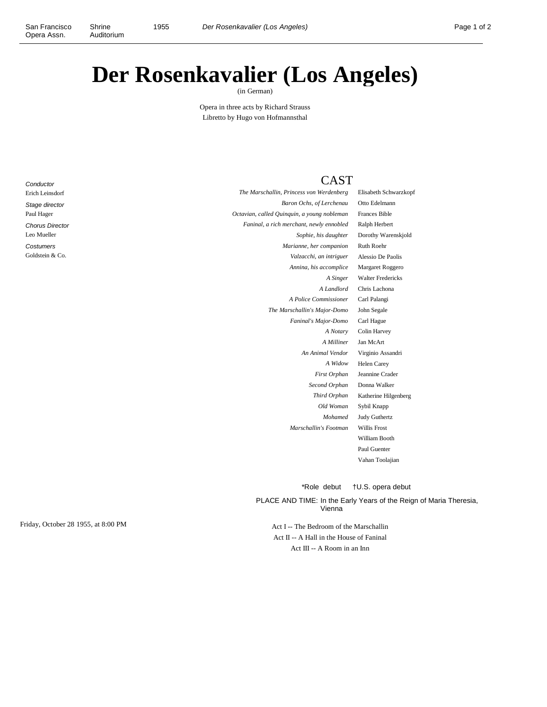Shrine

## **Der Rosenkavalier (Los Angeles)**

(in German)

Opera in three acts by Richard Strauss Libretto by Hugo von Hofmannsthal

## **Conductor** Erich Leinsdorf Stage director Paul Hager Chorus Director Leo Mueller **Costumers** Goldstein & Co.

## **CAST**

*The Marschallin, Princess von Werdenberg* Elisabeth Schwarzkopf *Baron Ochs, of Lerchenau* Otto Edelmann *Octavian, called Quinquin, a young nobleman* Frances Bible *Faninal, a rich merchant, newly ennobled* Ralph Herbert *Marianne, her companion* Ruth Roehr *Valzacchi, an intriguer* Alessio De Paolis *Annina, his accomplice* Margaret Roggero *A Police Commissioner* Carl Palangi *The Marschallin's Major-Domo* John Segale *Faninal's Major-Domo* Carl Hague *A Milliner* Jan McArt *An Animal Vendor* Virginio Assandri *Second Orphan* Donna Walker *Marschallin's Footman* Willis Frost

*Sophie, his daughter* Dorothy Warenskjold *A Singer* Walter Fredericks *A Landlord* Chris Lachona *A Notary* Colin Harvey *A Widow* Helen Carey *First Orphan* Jeannine Crader *Third Orphan* Katherine Hilgenberg *Old Woman* Sybil Knapp *Mohamed* Judy Guthertz William Booth Paul Guenter Vahan Toolajian

\*Role debut †U.S. opera debut

PLACE AND TIME: In the Early Years of the Reign of Maria Theresia, Vienna

Act II -- A Hall in the House of Faninal Act III -- A Room in an Inn

Friday, October 28 1955, at 8:00 PM Act I -- The Bedroom of the Marschallin